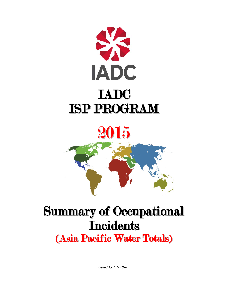



# Summary of Occupational **Incidents** (Asia Pacific Water Totals)

Issued 15 July 2016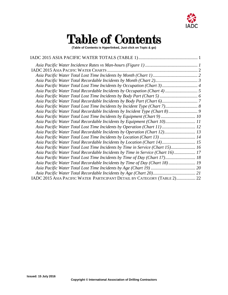

# Table of Contents

**(Table of Contents is Hyperlinked, Just click on Topic & go)**

| Asia Pacific Water Total Recordable Incidents by Incident Type (Chart 8) 9     |  |
|--------------------------------------------------------------------------------|--|
| Asia Pacific Water Total Lost Time Incidents by Equipment (Chart 9) 10         |  |
| Asia Pacific Water Total Recordable Incidents by Equipment (Chart 10) 11       |  |
| Asia Pacific Water Total Lost Time Incidents by Operation (Chart 11) 12        |  |
| Asia Pacific Water Total Recordable Incidents by Operation (Chart 12) 13       |  |
| Asia Pacific Water Total Lost Time Incidents by Location (Chart 13)  14        |  |
| Asia Pacific Water Total Recordable Incidents by Location (Chart 14) 15        |  |
| Asia Pacific Water Total Lost Time Incidents by Time in Service (Chart 15) 16  |  |
| Asia Pacific Water Total Recordable Incidents by Time in Service (Chart 16) 17 |  |
| Asia Pacific Water Total Lost Time Incidents by Time of Day (Chart 17) 18      |  |
| Asia Pacific Water Total Recordable Incidents by Time of Day (Chart 18) 19     |  |
|                                                                                |  |
|                                                                                |  |
| IADC 2015 ASIA PACIFIC WATER PARTICIPANT DETAIL BY CATEGORY (TABLE 2) 22       |  |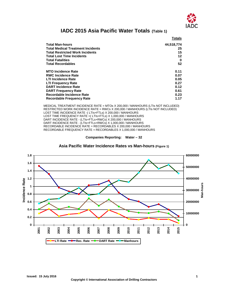

### **IADC 2015 Asia Pacific Water Totals (Table 1)**

<span id="page-2-0"></span>

|                                          | Totals     |
|------------------------------------------|------------|
| <b>Total Man-hours</b>                   | 44,518,774 |
| <b>Total Medical Treatment Incidents</b> | 25         |
| <b>Total Restricted Work Incidents</b>   | 15         |
| <b>Total Lost Time Incidents</b>         | $12 \,$    |
| <b>Total Fatalities</b>                  | 0          |
| <b>Total Recordables</b>                 | 52         |
| <b>MTO Incidence Rate</b>                | 0.11       |
| <b>RWC Incidence Rate</b>                | 0.07       |
| <b>LTI Incidence Rate</b>                | 0.05       |
| <b>LTI Frequency Rate</b>                | 0.27       |
| <b>DART Incidence Rate</b>               | 0.12       |
| <b>DART Frequency Rate</b>               | 0.61       |
| <b>Recordable Incidence Rate</b>         | 0.23       |
| <b>Recordable Frequency Rate</b>         | 1.17       |

MEDICAL TREATMENT INCIDENCE RATE = MTOs X 200,000 / MANHOURS (LTIs NOT INCLUDED) RESTRICTED WORK INCIDENCE RATE = RWCs X 200,000 / MANHOURS (LTIs NOT INCLUDED) LOST TIME INCIDENCE RATE -( LTIs+FTLs) X 200,000 / MANHOURS LOST TIME FREQUENCY RATE = (LTIs+FTLs) X 1,000,000 / MANHOURS DART INCIDENCE RATE - (LTIs+FTLs+RWCs) X 200,000 / MANHOURS DART INCIDENCE RATE - (LTIs+FTLs+RWCs) X 1,000,000 / MANHOURS RECORDABLE INCIDENCE RATE = RECORDABLES X 200,000 / MANHOURS RECORDABLE FREQUENCY RATE = RECORDABLES X 1,000,000 / MANHOURS



<span id="page-2-1"></span>

**Asia Pacific Water Incidence Rates vs Man-hours (Figure 1)**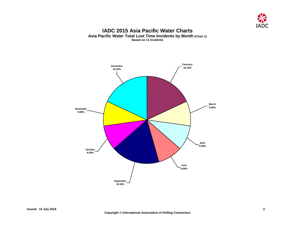

#### **IADC 2015 Asia Pacific Water Charts Asia Pacific Water Total Lost Time Incidents by Month (Chart 1) Based on 11 Incidents**

<span id="page-3-1"></span><span id="page-3-0"></span>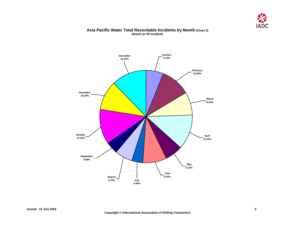

#### **Asia Pacific Water Total Recordable Incidents by Month (Chart 2) Based on 49 Incidents**

<span id="page-4-0"></span>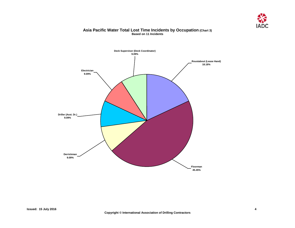

#### **Asia Pacific Water Total Lost Time Incidents by Occupation (Chart 3) Based on 11 Incidents**

<span id="page-5-0"></span>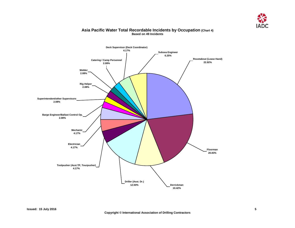

### <span id="page-6-0"></span>**Catering / Camp Personnel 2.08% Deck Supervisor (Deck Coordinator) 4.17% Subsea Engineer 6.25% Welder 2.08% Superintendent/other Supervisors 2.08% Mechanic 4.17% Electrician 4.17% Toolpusher (Asst.TP, Tourpusher) 4.17% Driller (Asst. Dr.) 12.50% Derrickman 10.42% Floorman 20.83% Roustabout (Lease Hand) 22.92% Rig Helper 2.08% Barge Engineer/Ballast Control Op. 2.08%**

#### **Asia Pacific Water Total Recordable Incidents by Occupation (Chart 4) Based on 49 Incidents**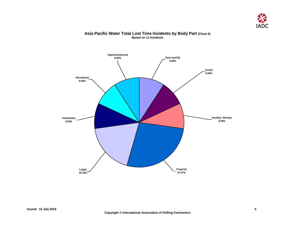

## <span id="page-7-0"></span>**Digestive/Internal 9.09% Shoulder(s) 9.09% Feet/Ankles 9.09% Leg(s) 18.18% Finger(s) 27.27% Hand(s) / Wrist(s) 9.09% Arm(s) 9.09% Eyes (eyelid) 9.09%**

#### **Asia Pacific Water Total Lost Time Incidents by Body Part (Chart 5) Based on 11 Incidents**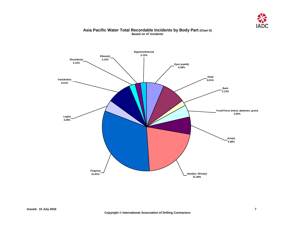

#### **Asia Pacific Water Total Recordable Incidents by Body Part (Chart 6) Based on 47 Incidents**

<span id="page-8-0"></span>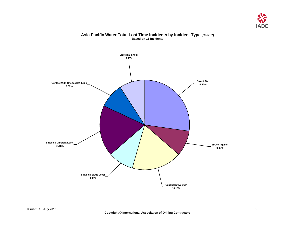

#### **Asia Pacific Water Total Lost Time Incidents by Incident Type (Chart 7) Based on 11 Incidents**

<span id="page-9-0"></span>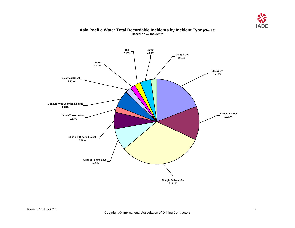

#### **Asia Pacific Water Total Recordable Incidents by Incident Type (Chart 8) Based on 47 Incidents**

<span id="page-10-0"></span>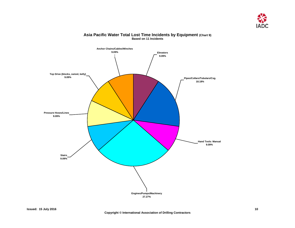

<span id="page-11-0"></span>

#### **Asia Pacific Water Total Lost Time Incidents by Equipment (Chart 9) Based on 11 Incidents**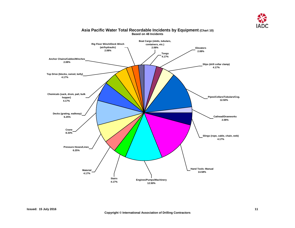

<span id="page-12-0"></span>

#### **Asia Pacific Water Total Recordable Incidents by Equipment (Chart 10) Based on 48 Incidents**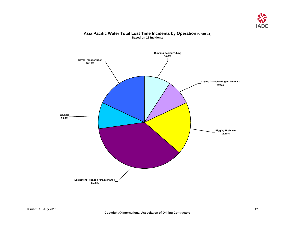

#### **Asia Pacific Water Total Lost Time Incidents by Operation (Chart 11) Based on 11 Incidents**

<span id="page-13-0"></span>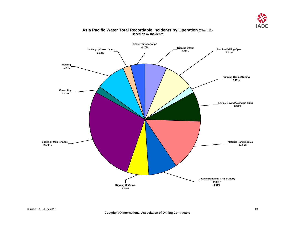

<span id="page-14-0"></span>

#### **Asia Pacific Water Total Recordable Incidents by Operation (Chart 12) Based on 47 Incidents**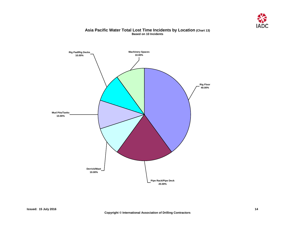

#### **Asia Pacific Water Total Lost Time Incidents by Location (Chart 13) Based on 10 Incidents**

<span id="page-15-0"></span>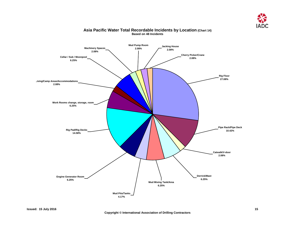

<span id="page-16-0"></span>

#### **Asia Pacific Water Total Recordable Incidents by Location (Chart 14) Based on 48 Incidents**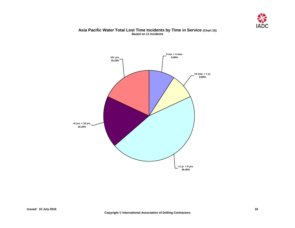

#### **Asia Pacific Water Total Lost Time Incidents by Time in Service (Chart 15) Based on 11 Incidents**

<span id="page-17-0"></span>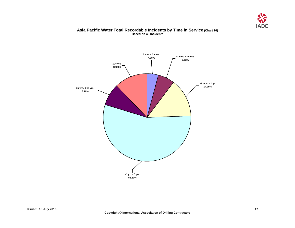

#### **Asia Pacific Water Total Recordable Incidents by Time in Service (Chart 16) Based on 49 Incidents**

<span id="page-18-0"></span>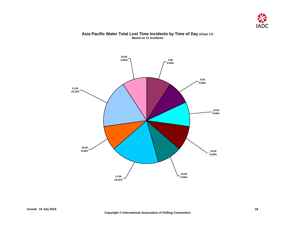

## <span id="page-19-0"></span>**18:00 9.09% 17:00 18.18% 15:00 9.09% 14:00 9.09% 12:00 9.09% 5:00 9.09% 2:00 9.09% 22:00 9.09% 21:00 18.18%**

#### **Asia Pacific Water Total Lost Time Incidents by Time of Day (Chart 17) Based on 11 Incidents**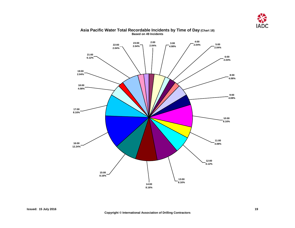

<span id="page-20-0"></span>

#### **Asia Pacific Water Total Recordable Incidents by Time of Day (Chart 18) Based on 49 Incidents**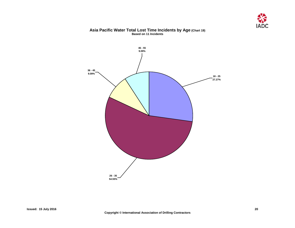

#### **Asia Pacific Water Total Lost Time Incidents by Age (Chart 19) Based on 11 Incidents**